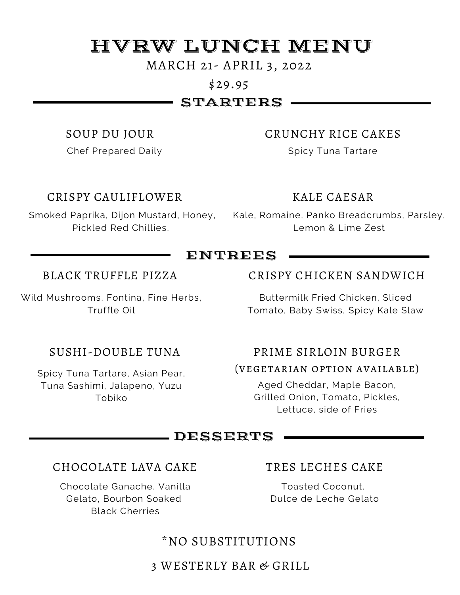# HVRW LUNCH MENU

### MARCH 21- APRIL 3, 2022

### \$29.95

# STARTERS

### SOUP DU JOUR

Chef Prepared Daily

### CRISPY CAULIFLOWER

Pickled Red Chillies,

### CRUNCHY RICE CAKES

Spicy Tuna Tartare

### KALE CAESAR

Smoked Paprika, Dijon Mustard, Honey, Kale, Romaine, Panko Breadcrumbs, Parsley, Lemon & Lime Zest

# ENTREES

### BLACK TRUFFLE PIZZA

Wild Mushrooms, Fontina, Fine Herbs, Truffle Oil

## SUSHI-DOUBLE TUNA

Spicy Tuna Tartare, Asian Pear, Tuna Sashimi, Jalapeno, Yuzu Tobiko

### CRISPY CHICKEN SANDWICH

Buttermilk Fried Chicken, Sliced Tomato, Baby Swiss, Spicy Kale Slaw

### PRIME SIRLOIN BURGER

### (vegetarian option available)

Aged Cheddar, Maple Bacon, Grilled Onion, Tomato, Pickles, Lettuce, side of Fries

# DESSERTS

### CHOCOLATE LAVA CAKE

Chocolate Ganache, Vanilla Gelato, Bourbon Soaked Black Cherries

### TRES LECHES CAKE

Toasted Coconut, Dulce de Leche Gelato

# \*NO SUBSTITUTIONS

### 3 WESTERLY BAR & GRILL